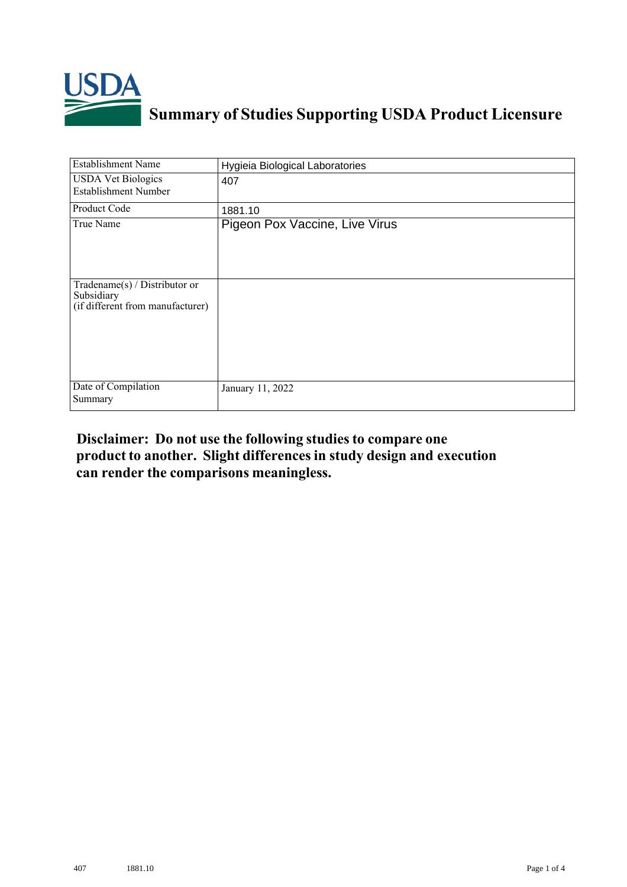

## **Summary of Studies Supporting USDA Product Licensure**

| <b>Establishment Name</b>                                                          | Hygieia Biological Laboratories |  |  |  |
|------------------------------------------------------------------------------------|---------------------------------|--|--|--|
| <b>USDA Vet Biologics</b><br><b>Establishment Number</b>                           | 407                             |  |  |  |
| Product Code                                                                       | 1881.10                         |  |  |  |
| True Name                                                                          | Pigeon Pox Vaccine, Live Virus  |  |  |  |
| Tradename $(s)$ / Distributor or<br>Subsidiary<br>(if different from manufacturer) |                                 |  |  |  |
| Date of Compilation<br>Summary                                                     | January 11, 2022                |  |  |  |

## **Disclaimer: Do not use the following studiesto compare one product to another. Slight differencesin study design and execution can render the comparisons meaningless.**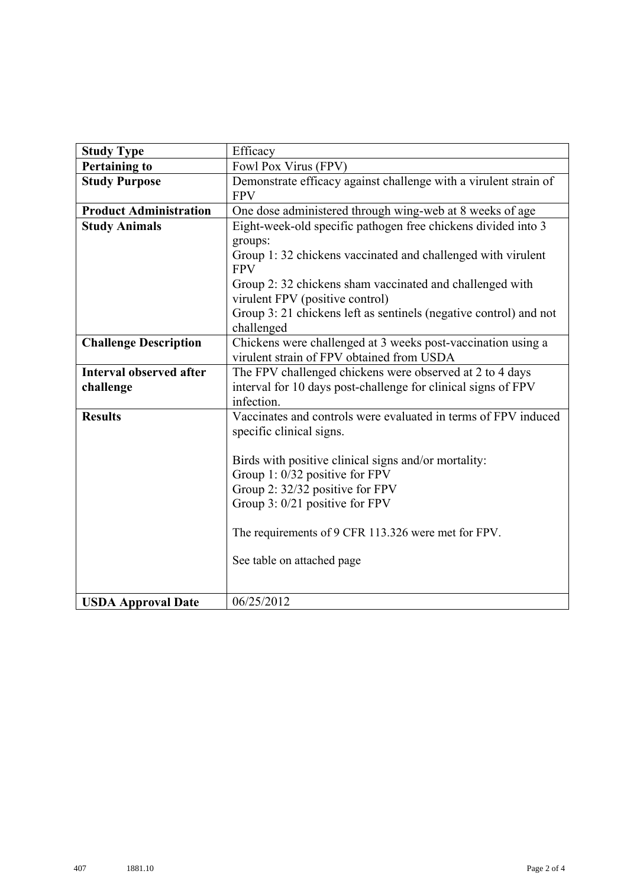| <b>Study Type</b>              | Efficacy                                                                       |  |  |  |  |  |  |  |
|--------------------------------|--------------------------------------------------------------------------------|--|--|--|--|--|--|--|
| <b>Pertaining to</b>           | Fowl Pox Virus (FPV)                                                           |  |  |  |  |  |  |  |
| <b>Study Purpose</b>           | Demonstrate efficacy against challenge with a virulent strain of<br><b>FPV</b> |  |  |  |  |  |  |  |
| <b>Product Administration</b>  | One dose administered through wing-web at 8 weeks of age                       |  |  |  |  |  |  |  |
| <b>Study Animals</b>           | Eight-week-old specific pathogen free chickens divided into 3                  |  |  |  |  |  |  |  |
|                                | groups:                                                                        |  |  |  |  |  |  |  |
|                                | Group 1:32 chickens vaccinated and challenged with virulent<br><b>FPV</b>      |  |  |  |  |  |  |  |
|                                | Group 2: 32 chickens sham vaccinated and challenged with                       |  |  |  |  |  |  |  |
|                                | virulent FPV (positive control)                                                |  |  |  |  |  |  |  |
|                                | Group 3: 21 chickens left as sentinels (negative control) and not              |  |  |  |  |  |  |  |
|                                | challenged                                                                     |  |  |  |  |  |  |  |
| <b>Challenge Description</b>   | Chickens were challenged at 3 weeks post-vaccination using a                   |  |  |  |  |  |  |  |
|                                | virulent strain of FPV obtained from USDA                                      |  |  |  |  |  |  |  |
| <b>Interval observed after</b> | The FPV challenged chickens were observed at 2 to 4 days                       |  |  |  |  |  |  |  |
| challenge                      | interval for 10 days post-challenge for clinical signs of FPV                  |  |  |  |  |  |  |  |
|                                | infection.                                                                     |  |  |  |  |  |  |  |
| <b>Results</b>                 | Vaccinates and controls were evaluated in terms of FPV induced                 |  |  |  |  |  |  |  |
|                                | specific clinical signs.                                                       |  |  |  |  |  |  |  |
|                                |                                                                                |  |  |  |  |  |  |  |
|                                | Birds with positive clinical signs and/or mortality:                           |  |  |  |  |  |  |  |
|                                | Group 1: 0/32 positive for FPV                                                 |  |  |  |  |  |  |  |
|                                | Group 2: 32/32 positive for FPV                                                |  |  |  |  |  |  |  |
|                                | Group 3: 0/21 positive for FPV                                                 |  |  |  |  |  |  |  |
|                                | The requirements of 9 CFR 113.326 were met for FPV.                            |  |  |  |  |  |  |  |
|                                | See table on attached page                                                     |  |  |  |  |  |  |  |
|                                |                                                                                |  |  |  |  |  |  |  |
| <b>USDA Approval Date</b>      | 06/25/2012                                                                     |  |  |  |  |  |  |  |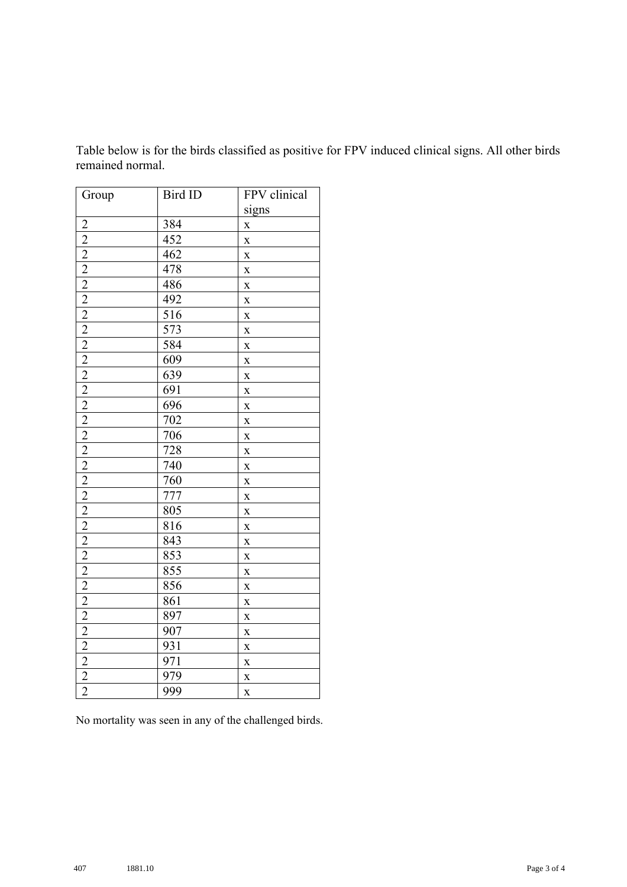| Group | Bird ID | FPV clinical            |  |
|-------|---------|-------------------------|--|
|       |         | signs                   |  |
|       | 384     | $\mathbf X$             |  |
|       | 452     | $\mathbf X$             |  |
|       | 462     | $\mathbf X$             |  |
|       | 478     | $\mathbf X$             |  |
|       | 486     | $\mathbf X$             |  |
|       | 492     | $\mathbf{\bar{X}}$      |  |
|       | 516     | $\mathbf X$             |  |
|       | 573     | $\mathbf{\bar{X}}$      |  |
|       | 584     | $\mathbf X$             |  |
|       | 609     | $\mathbf X$             |  |
|       | 639     | $\bar{\mathbf{X}}$      |  |
|       | 691     | $\mathbf X$             |  |
|       | 696     | $\mathbf{\bar{X}}$      |  |
|       | 702     | $\mathbf X$             |  |
|       | 706     | $\bf{X}$                |  |
|       | 728     | $\mathbf{\bar{X}}$      |  |
|       | 740     | $\mathbf X$             |  |
|       | 760     | $\mathbf X$             |  |
|       | 777     | $\mathbf X$             |  |
|       | 805     | $\mathbf X$             |  |
|       | 816     | $\mathbf{\bar{X}}$      |  |
|       | 843     | $\mathbf X$             |  |
|       | 853     | $\mathbf{\bar{X}}$      |  |
|       | 855     | $\mathbf X$             |  |
|       | 856     | $\mathbf X$             |  |
|       | 861     | $\mathbf X$             |  |
|       | 897     | $\mathbf X$             |  |
|       | 907     | $\mathbf{\bar{X}}$      |  |
|       | 931     | $\mathbf X$             |  |
|       | 971     | $\bf{X}$                |  |
|       | 979     | $\mathbf{\bar{X}}$      |  |
|       | 999     | $\mathbf{\overline{X}}$ |  |

Table below is for the birds classified as positive for FPV induced clinical signs. All other birds remained normal.

No mortality was seen in any of the challenged birds.